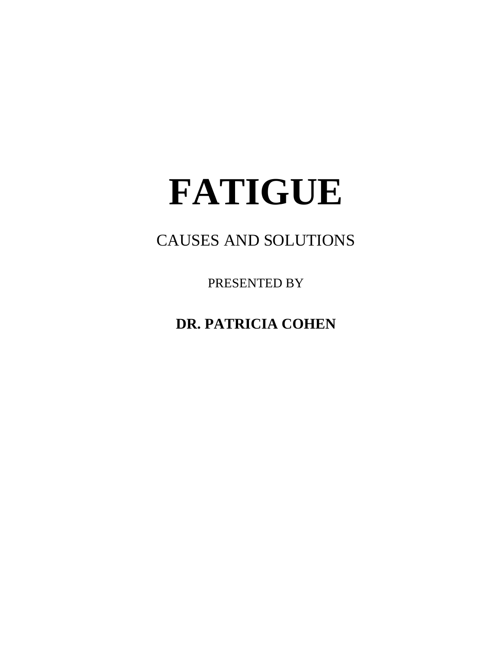# **FATIGUE**

## CAUSES AND SOLUTIONS

PRESENTED BY

**DR. PATRICIA COHEN**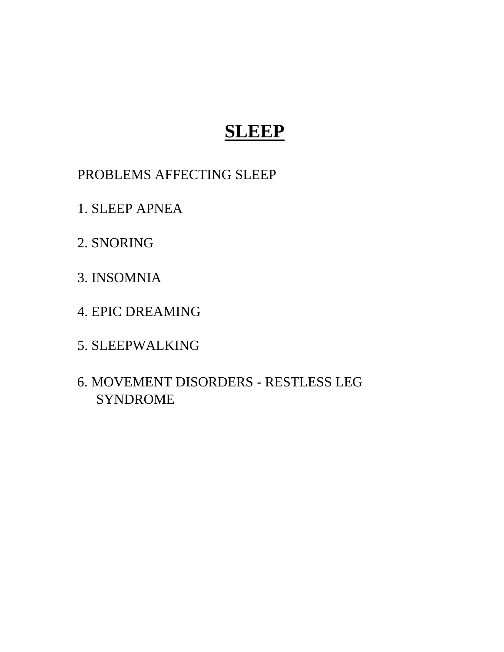# **SLEEP**

PROBLEMS AFFECTING SLEEP

1. SLEEP APNEA

2. SNORING

3. INSOMNIA

4. EPIC DREAMING

5. SLEEPWALKING

6. MOVEMENT DISORDERS - RESTLESS LEG SYNDROME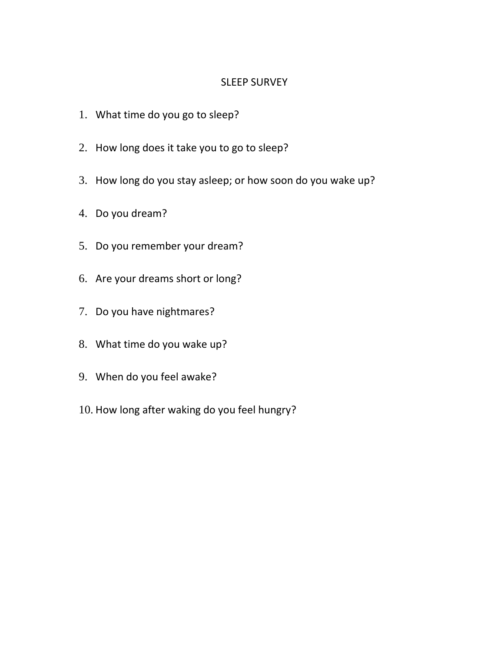#### SLEEP SURVEY

- 1. What time do you go to sleep?
- 2. How long does it take you to go to sleep?
- 3. How long do you stay asleep; or how soon do you wake up?
- 4. Do you dream?
- 5. Do you remember your dream?
- 6. Are your dreams short or long?
- 7. Do you have nightmares?
- 8. What time do you wake up?
- 9. When do you feel awake?
- 10. How long after waking do you feel hungry?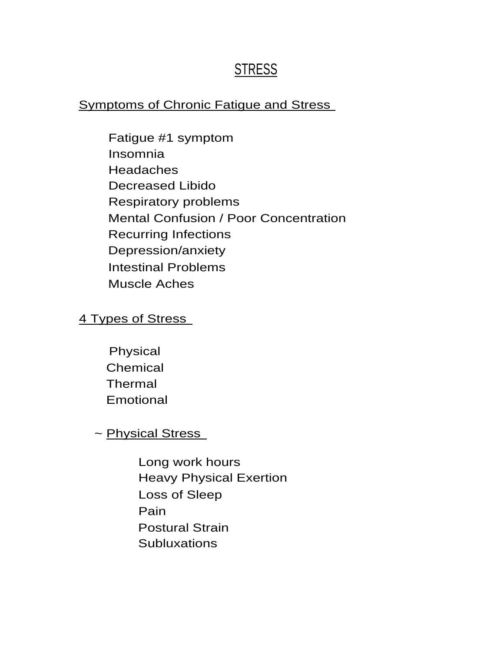### **STRESS**

### Symptoms of Chronic Fatigue and Stress

Fatigue #1 symptom Insomnia Headaches Decreased Libido Respiratory problems Mental Confusion / Poor Concentration Recurring Infections Depression/anxiety Intestinal Problems Muscle Aches

### 4 Types of Stress

Physical Chemical Thermal Emotional

~ Physical Stress

Long work hours Heavy Physical Exertion Loss of Sleep Pain Postural Strain **Subluxations**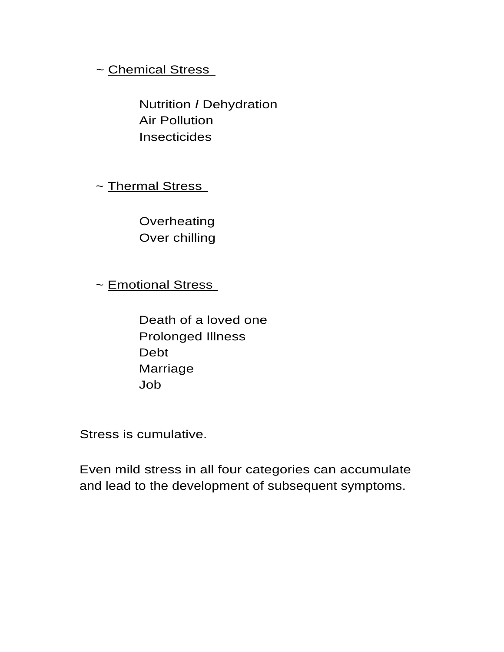### ~ Chemical Stress

Nutrition *I* Dehydration Air Pollution **Insecticides** 

~ Thermal Stress

**Overheating** Over chilling

~ Emotional Stress

Death of a loved one Prolonged Illness Debt Marriage Job

Stress is cumulative.

Even mild stress in all four categories can accumulate and lead to the development of subsequent symptoms.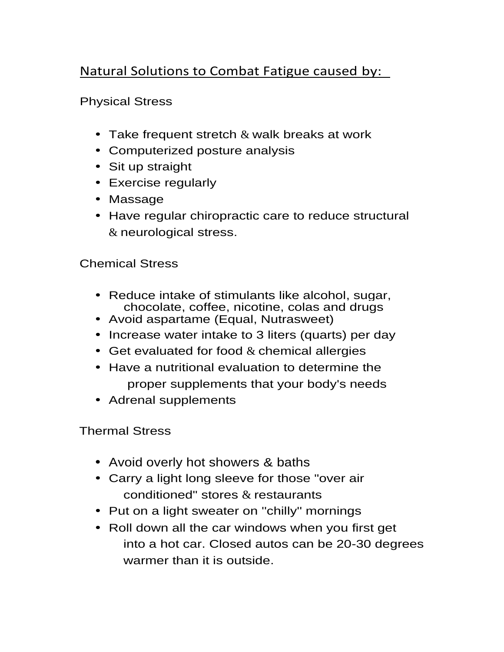### Natural Solutions to Combat Fatigue caused by:

Physical Stress

- Take frequent stretch  $\&$  walk breaks at work
- Computerized posture analysis
- Sit up straight
- Exercise regularly
- Massage
- Have regular chiropractic care to reduce structural & neurological stress.

### Chemical Stress

- Reduce intake of stimulants like alcohol, sugar, chocolate, coffee, nicotine, colas and drugs
- Avoid aspartame (Equal, Nutrasweet)
- Increase water intake to 3 liters (quarts) per day
- Get evaluated for food  $&$  chemical allergies
- Have a nutritional evaluation to determine the proper supplements that your body's needs
- Adrenal supplements

Thermal Stress

- Avoid overly hot showers & baths
- Carry a light long sleeve for those "over air conditioned" stores & restaurants
- Put on a light sweater on "chilly" mornings
- Roll down all the car windows when you first get into a hot car. Closed autos can be 20-30 degrees warmer than it is outside.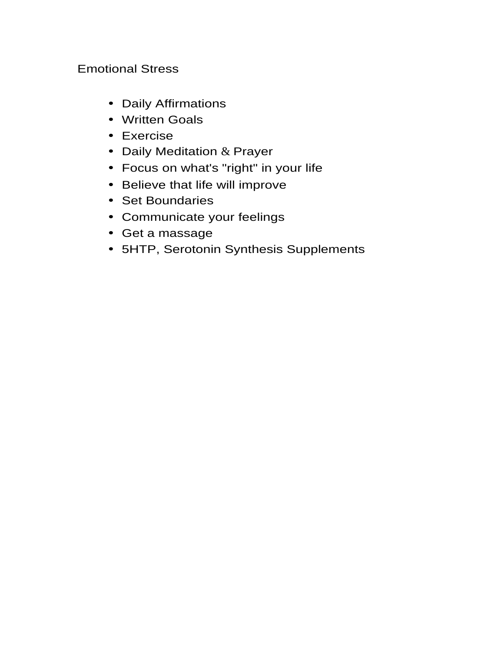### Emotional Stress

- Daily Affirmations
- Written Goals
- Exercise
- Daily Meditation & Prayer
- Focus on what's "right" in your life
- Believe that life will improve
- Set Boundaries
- Communicate your feelings
- Get a massage
- 5HTP, Serotonin Synthesis Supplements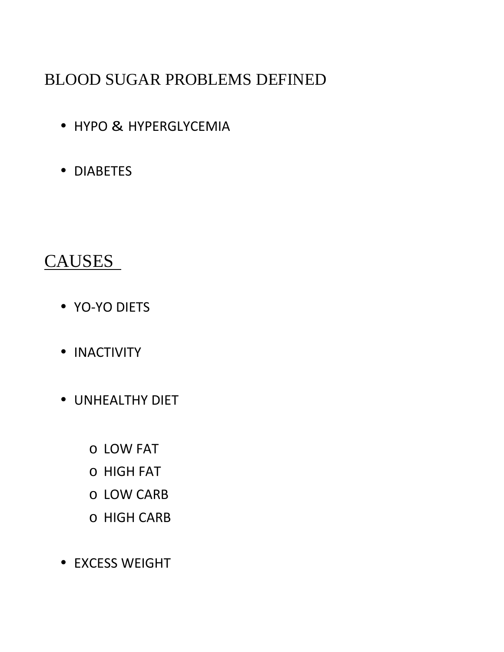# BLOOD SUGAR PROBLEMS DEFINED

- HYPO & HYPERGLYCEMIA
- DIABETES

### CAUSES

- YO-YO DIETS
- INACTIVITY
- UNHEALTHY DIET
	- o LOW FAT
	- o HIGH FAT
	- o LOW CARB
	- o HIGH CARB
- EXCESS WEIGHT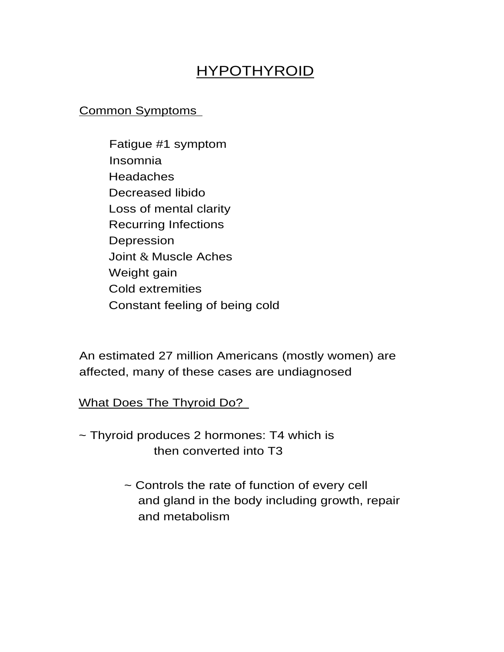### HYPOTHYROID

### Common Symptoms

Fatigue #1 symptom Insomnia **Headaches** Decreased libido Loss of mental clarity Recurring Infections Depression Joint & Muscle Aches Weight gain Cold extremities Constant feeling of being cold

An estimated 27 million Americans (mostly women) are affected, many of these cases are undiagnosed

What Does The Thyroid Do?

- ~ Thyroid produces 2 hormones: T4 which is then converted into T3
	- ~ Controls the rate of function of every cell and gland in the body including growth, repair and metabolism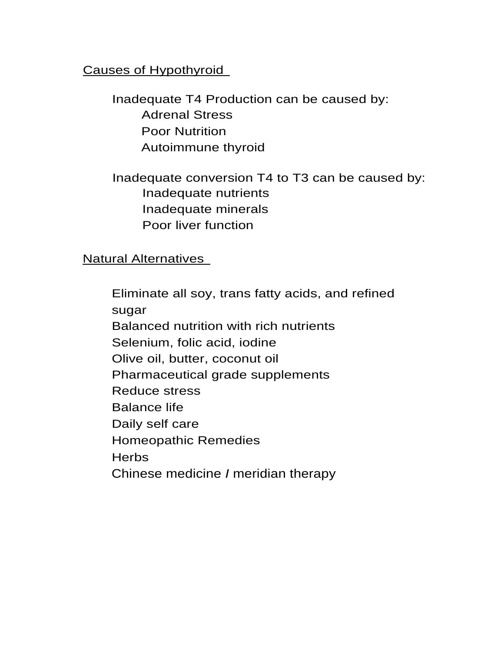### Causes of Hypothyroid

Inadequate T4 Production can be caused by: Adrenal Stress Poor Nutrition Autoimmune thyroid

Inadequate conversion T4 to T3 can be caused by: Inadequate nutrients Inadequate minerals Poor liver function

Natural Alternatives

Eliminate all soy, trans fatty acids, and refined sugar Balanced nutrition with rich nutrients Selenium, folic acid, iodine Olive oil, butter, coconut oil Pharmaceutical grade supplements Reduce stress Balance life Daily self care Homeopathic Remedies **Herbs** Chinese medicine *I* meridian therapy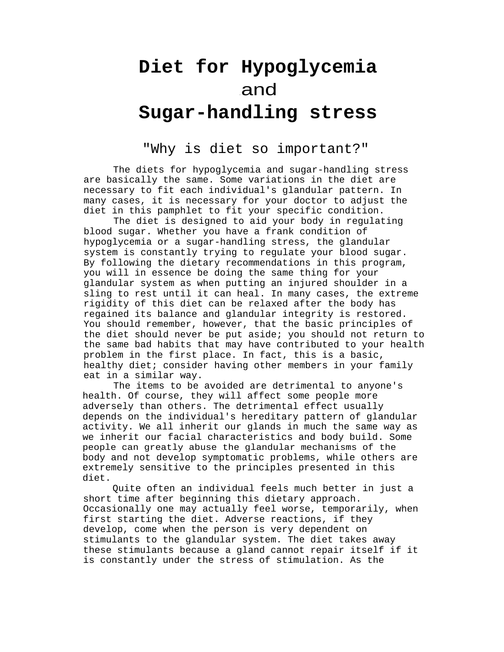# **Diet for Hypoglycemia** <sup>&</sup>gt; and **Sugar-handling stress**

#### "Why is diet so important?"

The diets for hypoglycemia and sugar-handling stress are basically the same. Some variations in the diet are necessary to fit each individual's glandular pattern. In many cases, it is necessary for your doctor to adjust the diet in this pamphlet to fit your specific condition.

The diet is designed to aid your body in regulating blood sugar. Whether you have a frank condition of hypoglycemia or a sugar-handling stress, the glandular system is constantly trying to regulate your blood sugar. By following the dietary recommendations in this program, you will in essence be doing the same thing for your glandular system as when putting an injured shoulder in a sling to rest until it can heal. In many cases, the extreme rigidity of this diet can be relaxed after the body has regained its balance and glandular integrity is restored. You should remember, however, that the basic principles of the diet should never be put aside; you should not return to the same bad habits that may have contributed to your health problem in the first place. In fact, this is a basic, healthy diet; consider having other members in your family eat in a similar way.

The items to be avoided are detrimental to anyone's health. Of course, they will affect some people more adversely than others. The detrimental effect usually depends on the individual's hereditary pattern of glandular activity. We all inherit our glands in much the same way as we inherit our facial characteristics and body build. Some people can greatly abuse the glandular mechanisms of the body and not develop symptomatic problems, while others are extremely sensitive to the principles presented in this diet.

Quite often an individual feels much better in just a short time after beginning this dietary approach. Occasionally one may actually feel worse, temporarily, when first starting the diet. Adverse reactions, if they develop, come when the person is very dependent on stimulants to the glandular system. The diet takes away these stimulants because a gland cannot repair itself if it is constantly under the stress of stimulation. As the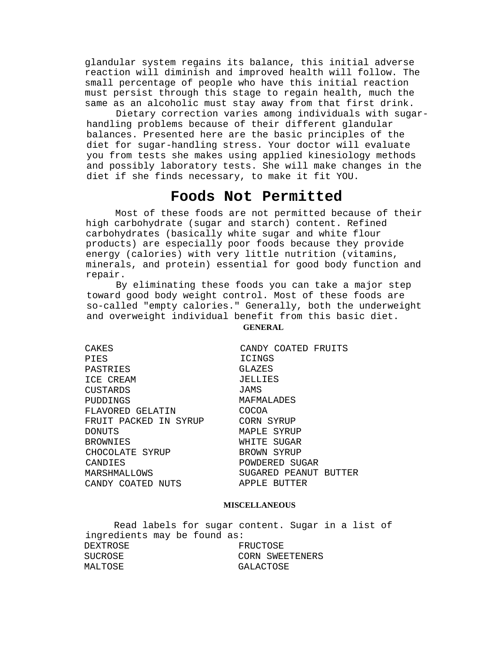glandular system regains its balance, this initial adverse reaction will diminish and improved health will follow. The small percentage of people who have this initial reaction must persist through this stage to regain health, much the same as an alcoholic must stay away from that first drink.

Dietary correction varies among individuals with sugarhandling problems because of their different glandular balances. Presented here are the basic principles of the diet for sugar-handling stress. Your doctor will evaluate you from tests she makes using applied kinesiology methods and possibly laboratory tests. She will make changes in the diet if she finds necessary, to make it fit YOU.

#### **Foods Not Permitted**

Most of these foods are not permitted because of their high carbohydrate (sugar and starch) content. Refined carbohydrates (basically white sugar and white flour products) are especially poor foods because they provide energy (calories) with very little nutrition (vitamins, minerals, and protein) essential for good body function and repair.

By eliminating these foods you can take a major step toward good body weight control. Most of these foods are so-called "empty calories." Generally, both the underweight and overweight individual benefit from this basic diet.

| CAKES                 | CANDY COATED FRUITS   |
|-----------------------|-----------------------|
| PIES                  | ICINGS                |
| PASTRIES              | GLAZES                |
| ICE CREAM             | JELLIES               |
| CUSTARDS              | JAMS                  |
| PUDDINGS              | MAFMALADES            |
| FLAVORED GELATIN      | COCOA                 |
| FRUIT PACKED IN SYRUP | CORN SYRUP            |
| DONUTS                | MAPLE SYRUP           |
| BROWNIES              | WHITE SUGAR           |
| CHOCOLATE SYRUP       | BROWN SYRUP           |
| CANDIES               | POWDERED SUGAR        |
| MARSHMALLOWS          | SUGARED PEANUT BUTTER |
| CANDY COATED NUTS     | APPLE BUTTER          |
|                       |                       |

#### **MISCELLANEOUS**

Read labels for sugar content. Sugar in a list of ingredients may be found as: DEXTROSE FRUCTOSE SUCROSE CORN SWEETENERS MALTOSE GALACTOSE